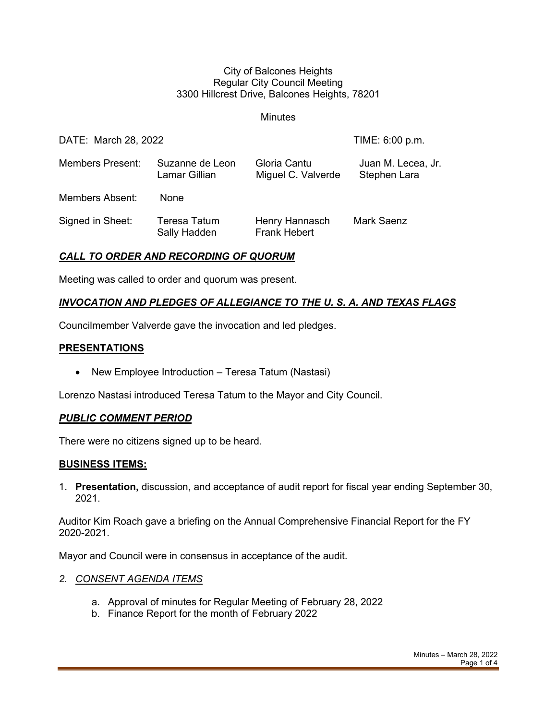#### City of Balcones Heights Regular City Council Meeting 3300 Hillcrest Drive, Balcones Heights, 78201

**Minutes** 

| DATE: March 28, 2022    |                                     |                                       | TIME: 6:00 p.m.                    |
|-------------------------|-------------------------------------|---------------------------------------|------------------------------------|
| <b>Members Present:</b> | Suzanne de Leon<br>Lamar Gillian    | Gloria Cantu<br>Miguel C. Valverde    | Juan M. Lecea, Jr.<br>Stephen Lara |
| <b>Members Absent:</b>  | <b>None</b>                         |                                       |                                    |
| Signed in Sheet:        | <b>Teresa Tatum</b><br>Sally Hadden | Henry Hannasch<br><b>Frank Hebert</b> | <b>Mark Saenz</b>                  |

### *CALL TO ORDER AND RECORDING OF QUORUM*

Meeting was called to order and quorum was present.

# *INVOCATION AND PLEDGES OF ALLEGIANCE TO THE U. S. A. AND TEXAS FLAGS*

Councilmember Valverde gave the invocation and led pledges.

### **PRESENTATIONS**

• New Employee Introduction – Teresa Tatum (Nastasi)

Lorenzo Nastasi introduced Teresa Tatum to the Mayor and City Council.

### *PUBLIC COMMENT PERIOD*

There were no citizens signed up to be heard.

### **BUSINESS ITEMS:**

1. **Presentation,** discussion, and acceptance of audit report for fiscal year ending September 30, 2021.

Auditor Kim Roach gave a briefing on the Annual Comprehensive Financial Report for the FY 2020-2021.

Mayor and Council were in consensus in acceptance of the audit.

### *2. CONSENT AGENDA ITEMS*

- a. Approval of minutes for Regular Meeting of February 28, 2022
- b. Finance Report for the month of February 2022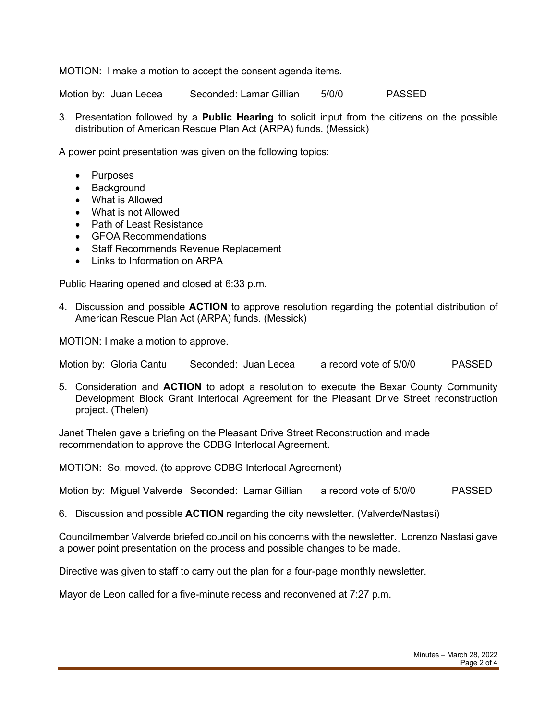MOTION: I make a motion to accept the consent agenda items.

Motion by: Juan Lecea Seconded: Lamar Gillian 5/0/0 PASSED

3. Presentation followed by a **Public Hearing** to solicit input from the citizens on the possible distribution of American Rescue Plan Act (ARPA) funds. (Messick)

A power point presentation was given on the following topics:

- Purposes
- Background
- What is Allowed
- What is not Allowed
- Path of Least Resistance
- GFOA Recommendations
- Staff Recommends Revenue Replacement
- Links to Information on ARPA

Public Hearing opened and closed at 6:33 p.m.

4. Discussion and possible **ACTION** to approve resolution regarding the potential distribution of American Rescue Plan Act (ARPA) funds. (Messick)

MOTION: I make a motion to approve.

Motion by: Gloria Cantu Seconded: Juan Lecea a record vote of 5/0/0 PASSED

5. Consideration and **ACTION** to adopt a resolution to execute the Bexar County Community Development Block Grant Interlocal Agreement for the Pleasant Drive Street reconstruction project. (Thelen)

Janet Thelen gave a briefing on the Pleasant Drive Street Reconstruction and made recommendation to approve the CDBG Interlocal Agreement.

MOTION: So, moved. (to approve CDBG Interlocal Agreement)

Motion by: Miguel Valverde Seconded: Lamar Gillian a record vote of 5/0/0 PASSED

6. Discussion and possible **ACTION** regarding the city newsletter. (Valverde/Nastasi)

Councilmember Valverde briefed council on his concerns with the newsletter. Lorenzo Nastasi gave a power point presentation on the process and possible changes to be made.

Directive was given to staff to carry out the plan for a four-page monthly newsletter.

Mayor de Leon called for a five-minute recess and reconvened at 7:27 p.m.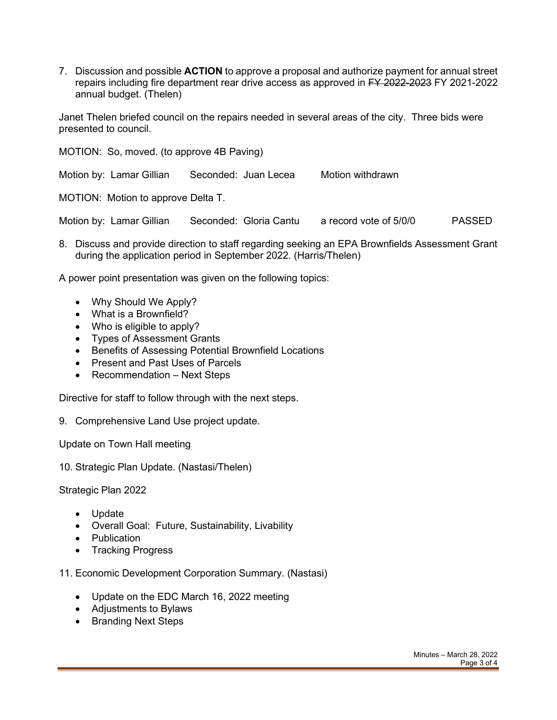7. Discussion and possible **ACTION** to approve a proposal and authorize payment for annual street repairs including fire department rear drive access as approved in FY 2022-2023 FY 2021-2022 annual budget. (Thelen)

Janet Thelen briefed council on the repairs needed in several areas of the city. Three bids were presented to council.

MOTION: So, moved. (to approve 4B Paving) Motion by: Lamar Gillian Seconded: Juan Lecea Motion withdrawn MOTION: Motion to approve Delta T.

Motion by: Lamar Gillian Seconded: Gloria Cantu a record vote of 5/0/0 PASSED

8. Discuss and provide direction to staff regarding seeking an EPA Brownfields Assessment Grant during the application period in September 2022. (Harris/Thelen)

A power point presentation was given on the following topics:

- Why Should We Apply?
- What is a Brownfield?
- Who is eligible to apply?
- Types of Assessment Grants
- Benefits of Assessing Potential Brownfield Locations
- Present and Past Uses of Parcels
- Recommendation Next Steps

Directive for staff to follow through with the next steps.

9. Comprehensive Land Use project update.

Update on Town Hall meeting

10. Strategic Plan Update. (Nastasi/Thelen)

Strategic Plan 2022

- Update
- Overall Goal: Future, Sustainability, Livability
- Publication
- Tracking Progress

11. Economic Development Corporation Summary. (Nastasi)

- Update on the EDC March 16, 2022 meeting
- Adjustments to Bylaws
- Branding Next Steps